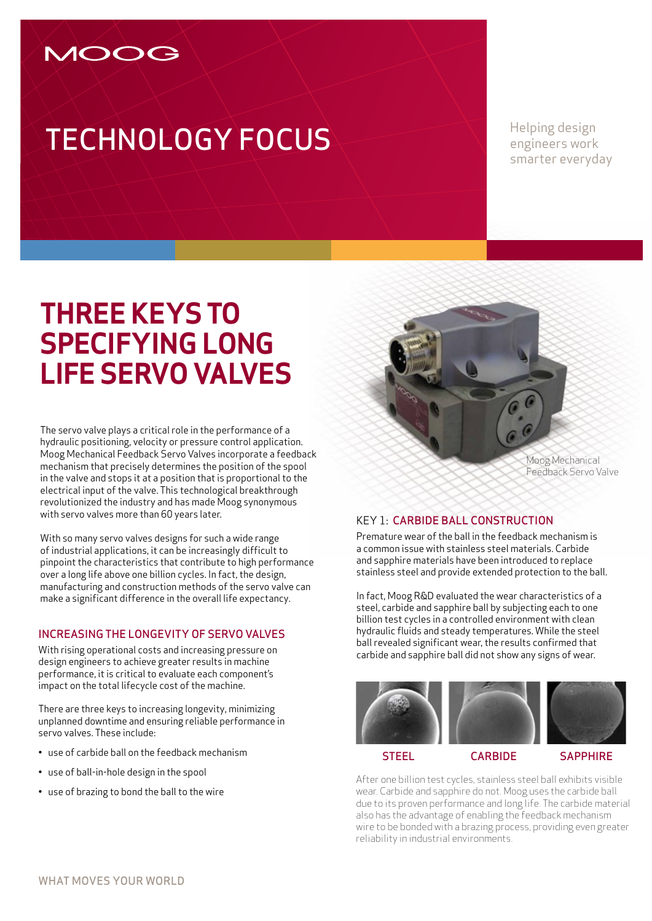### MOOG

# **TECHNOLOGY FOCUS**

engineers work smarter everyday

## **Three Keys to Specifying Long Life Servo Valves**

The servo valve plays a critical role in the performance of a hydraulic positioning, velocity or pressure control application. Moog Mechanical Feedback Servo Valves incorporate a feedback mechanism that precisely determines the position of the spool in the valve and stops it at a position that is proportional to the electrical input of the valve. This technological breakthrough revolutionized the industry and has made Moog synonymous with servo valves more than 60 years later.

With so many servo valves designs for such a wide range of industrial applications, it can be increasingly difficult to pinpoint the characteristics that contribute to high performance over a long life above one billion cycles. In fact, the design, manufacturing and construction methods of the servo valve can make a significant difference in the overall life expectancy.

#### Increasing the longevity of servo valves

With rising operational costs and increasing pressure on design engineers to achieve greater results in machine performance, it is critical to evaluate each component's impact on the total lifecycle cost of the machine.

There are three keys to increasing longevity, minimizing unplanned downtime and ensuring reliable performance in servo valves. These include:

- use of carbide ball on the feedback mechanism
- use of ball-in-hole design in the spool
- use of brazing to bond the ball to the wire

Moog Mechanical Feedback Servo Valve

#### Key 1: Carbide ball construction

Premature wear of the ball in the feedback mechanism is a common issue with stainless steel materials. Carbide and sapphire materials have been introduced to replace stainless steel and provide extended protection to the ball.

In fact, Moog R&D evaluated the wear characteristics of a steel, carbide and sapphire ball by subjecting each to one billion test cycles in a controlled environment with clean hydraulic fluids and steady temperatures. While the steel ball revealed significant wear, the results confirmed that carbide and sapphire ball did not show any signs of wear.



After one billion test cycles, stainless steel ball exhibits visible wear. Carbide and sapphire do not. Moog uses the carbide ball due to its proven performance and long life. The carbide material also has the advantage of enabling the feedback mechanism wire to be bonded with a brazing process, providing even greater reliability in industrial environments.